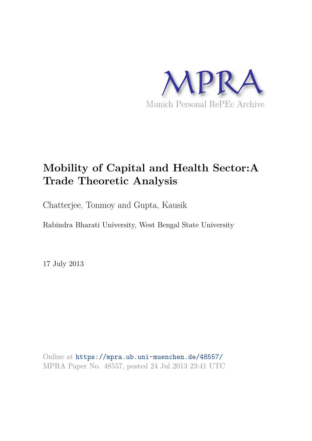

# **Mobility of Capital and Health Sector:A Trade Theoretic Analysis**

Chatterjee, Tonmoy and Gupta, Kausik

Rabindra Bharati University, West Bengal State University

17 July 2013

Online at https://mpra.ub.uni-muenchen.de/48557/ MPRA Paper No. 48557, posted 24 Jul 2013 23:41 UTC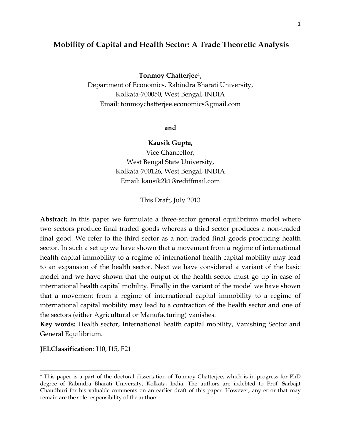# **Mobility of Capital and Health Sector: A Trade Theoretic Analysis**

## **Tonmoy Chatterjee[1](#page-1-0) ,**

Department of Economics, Rabindra Bharati University, Kolkata-700050, West Bengal, INDIA Email: tonmoychatterjee.economics@gmail.com

# **and**

#### **Kausik Gupta,**

Vice Chancellor, West Bengal State University, Kolkata-700126, West Bengal, INDIA Email: kausik2k1@rediffmail.com

This Draft, July 2013

**Abstract:** In this paper we formulate a three-sector general equilibrium model where two sectors produce final traded goods whereas a third sector produces a non-traded final good. We refer to the third sector as a non-traded final goods producing health sector. In such a set up we have shown that a movement from a regime of international health capital immobility to a regime of international health capital mobility may lead to an expansion of the health sector. Next we have considered a variant of the basic model and we have shown that the output of the health sector must go up in case of international health capital mobility. Finally in the variant of the model we have shown that a movement from a regime of international capital immobility to a regime of international capital mobility may lead to a contraction of the health sector and one of the sectors (either Agricultural or Manufacturing) vanishes.

**Key words:** Health sector, International health capital mobility, Vanishing Sector and General Equilibrium.

**JELClassification**: I10, I15, F21

<span id="page-1-0"></span><sup>&</sup>lt;sup>1</sup> This paper is a part of the doctoral dissertation of Tonmoy Chatterjee, which is in progress for PhD degree of Rabindra Bharati University, Kolkata, India. The authors are indebted to Prof. Sarbajit Chaudhuri for his valuable comments on an earlier draft of this paper. However, any error that may remain are the sole responsibility of the authors.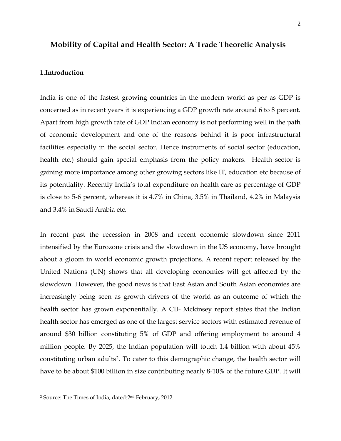# **Mobility of Capital and Health Sector: A Trade Theoretic Analysis**

#### **1.Introduction**

India is one of the fastest growing countries in the modern world as per as GDP is concerned as in recent years it is experiencing a GDP growth rate around 6 to 8 percent. Apart from high growth rate of GDP Indian economy is not performing well in the path of economic development and one of the reasons behind it is poor infrastructural facilities especially in the social sector. Hence instruments of social sector (education, health etc.) should gain special emphasis from the policy makers. Health sector is gaining more importance among other growing sectors like IT, education etc because of its potentiality. Recently India's total expenditure on health care as percentage of GDP is close to 5-6 percent, whereas it is 4.7% in China, 3.5% in Thailand, 4.2% in Malaysia and 3.4% in Saudi Arabia etc.

In recent past the recession in 2008 and recent economic slowdown since 2011 intensified by the Eurozone crisis and the slowdown in the US economy, have brought about a gloom in world economic growth projections. A recent report released by the United Nations (UN) shows that all developing economies will get affected by the slowdown. However, the good news is that East Asian and South Asian economies are increasingly being seen as growth drivers of the world as an outcome of which the health sector has grown exponentially. A CII- Mckinsey report states that the Indian health sector has emerged as one of the largest service sectors with estimated revenue of around \$30 billion constituting 5% of GDP and offering employment to around 4 million people. By 2025, the Indian population will touch 1.4 billion with about 45% constituting urban adults[2](#page-2-0) . To cater to this demographic change, the health sector will have to be about \$100 billion in size contributing nearly 8-10% of the future GDP. It will

l

<span id="page-2-0"></span><sup>2</sup> Source: The Times of India, dated:2nd February, 2012.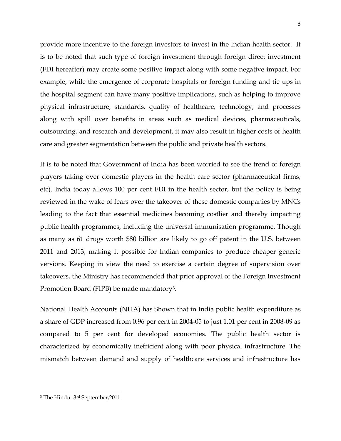provide more incentive to the foreign investors to invest in the Indian health sector. It is to be noted that such type of foreign investment through foreign direct investment (FDI hereafter) may create some positive impact along with some negative impact. For example, while the emergence of corporate hospitals or foreign funding and tie ups in the hospital segment can have many positive implications, such as helping to improve physical infrastructure, standards, quality of healthcare, technology, and processes along with spill over benefits in areas such as medical devices, pharmaceuticals, outsourcing, and research and development, it may also result in higher costs of health care and greater segmentation between the public and private health sectors.

It is to be noted that Government of India has been worried to see the trend of foreign players taking over domestic players in the health care sector (pharmaceutical firms, etc). India today allows 100 per cent FDI in the health sector, but the policy is being reviewed in the wake of fears over the takeover of these domestic companies by MNCs leading to the fact that essential medicines becoming costlier and thereby impacting public health programmes, including the universal immunisation programme. Though as many as 61 drugs worth \$80 billion are likely to go off patent in the U.S. between 2011 and 2013, making it possible for Indian companies to produce cheaper generic versions. Keeping in view the need to exercise a certain degree of supervision over takeovers, the Ministry has recommended that prior approval of the Foreign Investment Promotion Board (FIPB) be made mandatory<sup>[3](#page-3-0)</sup>.

National Health Accounts (NHA) has Shown that in India public health expenditure as a share of GDP increased from 0.96 per cent in 2004-05 to just 1.01 per cent in 2008-09 as compared to 5 per cent for developed economies. The public health sector is characterized by economically inefficient along with poor physical infrastructure. The mismatch between demand and supply of healthcare services and infrastructure has

<span id="page-3-0"></span><sup>3</sup> The Hindu- 3rd September,2011.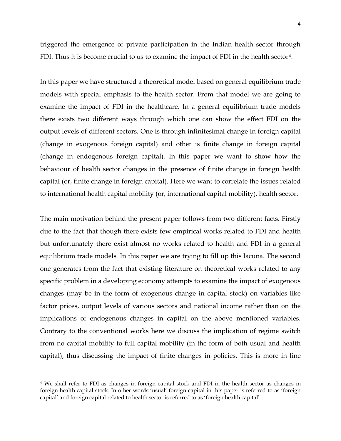triggered the emergence of private participation in the Indian health sector through FDI. Thus it is become crucial to us to examine the impact of FDI in the health sector<sup>[4](#page-4-0)</sup>.

In this paper we have structured a theoretical model based on general equilibrium trade models with special emphasis to the health sector. From that model we are going to examine the impact of FDI in the healthcare. In a general equilibrium trade models there exists two different ways through which one can show the effect FDI on the output levels of different sectors. One is through infinitesimal change in foreign capital (change in exogenous foreign capital) and other is finite change in foreign capital (change in endogenous foreign capital). In this paper we want to show how the behaviour of health sector changes in the presence of finite change in foreign health capital (or, finite change in foreign capital). Here we want to correlate the issues related to international health capital mobility (or, international capital mobility), health sector.

The main motivation behind the present paper follows from two different facts. Firstly due to the fact that though there exists few empirical works related to FDI and health but unfortunately there exist almost no works related to health and FDI in a general equilibrium trade models. In this paper we are trying to fill up this lacuna. The second one generates from the fact that existing literature on theoretical works related to any specific problem in a developing economy attempts to examine the impact of exogenous changes (may be in the form of exogenous change in capital stock) on variables like factor prices, output levels of various sectors and national income rather than on the implications of endogenous changes in capital on the above mentioned variables. Contrary to the conventional works here we discuss the implication of regime switch from no capital mobility to full capital mobility (in the form of both usual and health capital), thus discussing the impact of finite changes in policies. This is more in line

<span id="page-4-0"></span><sup>4</sup> We shall refer to FDI as changes in foreign capital stock and FDI in the health sector as changes in foreign health capital stock. In other words 'usual' foreign capital in this paper is referred to as 'foreign capital' and foreign capital related to health sector is referred to as 'foreign health capital'.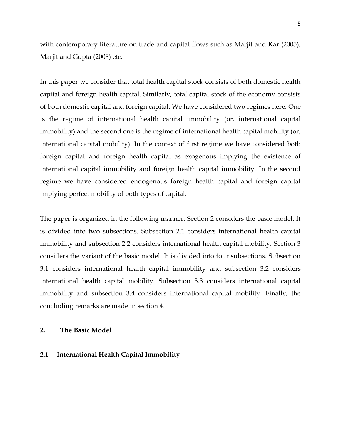with contemporary literature on trade and capital flows such as Marjit and Kar (2005), Marjit and Gupta (2008) etc.

In this paper we consider that total health capital stock consists of both domestic health capital and foreign health capital. Similarly, total capital stock of the economy consists of both domestic capital and foreign capital. We have considered two regimes here. One is the regime of international health capital immobility (or, international capital immobility) and the second one is the regime of international health capital mobility (or, international capital mobility). In the context of first regime we have considered both foreign capital and foreign health capital as exogenous implying the existence of international capital immobility and foreign health capital immobility. In the second regime we have considered endogenous foreign health capital and foreign capital implying perfect mobility of both types of capital.

The paper is organized in the following manner. Section 2 considers the basic model. It is divided into two subsections. Subsection 2.1 considers international health capital immobility and subsection 2.2 considers international health capital mobility. Section 3 considers the variant of the basic model. It is divided into four subsections. Subsection 3.1 considers international health capital immobility and subsection 3.2 considers international health capital mobility. Subsection 3.3 considers international capital immobility and subsection 3.4 considers international capital mobility. Finally, the concluding remarks are made in section 4.

# **2. The Basic Model**

#### **2.1 International Health Capital Immobility**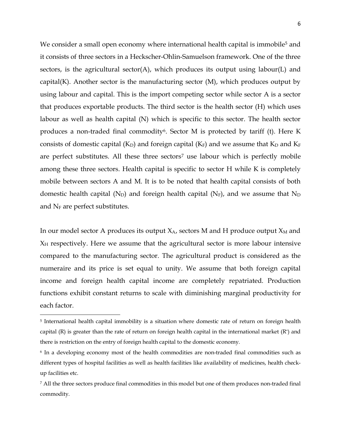We consider a small open economy where international health capital is immobile<sup>[5](#page-6-0)</sup> and it consists of three sectors in a Heckscher-Ohlin-Samuelson framework. One of the three sectors, is the agricultural sector(A), which produces its output using labour(L) and capital $(K)$ . Another sector is the manufacturing sector  $(M)$ , which produces output by using labour and capital. This is the import competing sector while sector A is a sector that produces exportable products. The third sector is the health sector (H) which uses labour as well as health capital (N) which is specific to this sector. The health sector produces a non-traded final commodity<sup>[6](#page-6-0)</sup>. Sector M is protected by tariff (t). Here K consists of domestic capital ( $K_D$ ) and foreign capital ( $K_F$ ) and we assume that  $K_D$  and  $K_F$ are perfect substitutes. All these three sectors<sup>[7](#page-6-0)</sup> use labour which is perfectly mobile among these three sectors. Health capital is specific to sector H while K is completely mobile between sectors A and M. It is to be noted that health capital consists of both domestic health capital ( $N_D$ ) and foreign health capital ( $N_F$ ), and we assume that  $N_D$ and  $N_F$  are perfect substitutes.

In our model sector A produces its output  $X_A$ , sectors M and H produce output  $X_M$  and  $X_H$  respectively. Here we assume that the agricultural sector is more labour intensive compared to the manufacturing sector. The agricultural product is considered as the numeraire and its price is set equal to unity. We assume that both foreign capital income and foreign health capital income are completely repatriated. Production functions exhibit constant returns to scale with diminishing marginal productivity for each factor.

<span id="page-6-0"></span><sup>&</sup>lt;sup>5</sup> International health capital immobility is a situation where domestic rate of return on foreign health capital (R) is greater than the rate of return on foreign health capital in the international market (R\*) and there is restriction on the entry of foreign health capital to the domestic economy.

<sup>6</sup> In a developing economy most of the health commodities are non-traded final commodities such as different types of hospital facilities as well as health facilities like availability of medicines, health checkup facilities etc.

<sup>7</sup> All the three sectors produce final commodities in this model but one of them produces non-traded final commodity.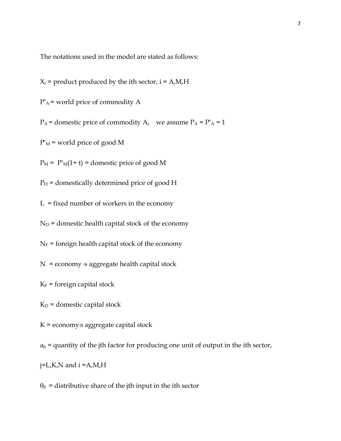The notations used in the model are stated as follows:

 $X_i$  = product produced by the ith sector,  $i = A, M, H$ 

 $P^*$ A = world price of commodity A

 $P_A$  = domestic price of commodity A, we assume  $P_A = P^* A = 1$ 

 $P^*$ <sub>M</sub> = world price of good M

 $P_M = P^*M(1+t) =$ domestic price of good M

 $P_H$  = domestically determined price of good H

 $L = fixed$  number of workers in the economy

 $N_D$  = domestic health capital stock of the economy

 $N_F$  = foreign health capital stock of the economy

 $N =$  economy  $\epsilon s$  aggregate health capital stock

 $K_F$  = foreign capital stock

 $K_D$  = domestic capital stock

 $K =$  economy<sup>s</sup> aggregate capital stock

 $a_{ji}$  = quantity of the jth factor for producing one unit of output in the ith sector,

j=L,K,N and i =A,M,H

 $\theta_{ji}$  = distributive share of the jth input in the ith sector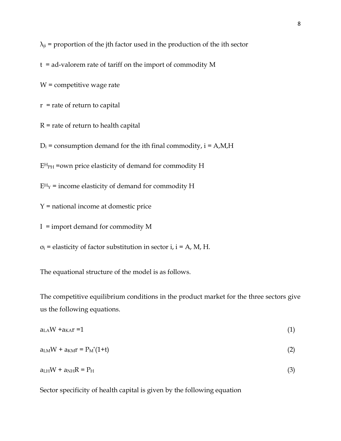$\lambda_{ji}$  = proportion of the jth factor used in the production of the ith sector

t = ad-valorem rate of tariff on the import of commodity M

W = competitive wage rate

 $r =$  rate of return to capital

 $R$  = rate of return to health capital

 $D_i$  = consumption demand for the ith final commodity,  $i = A, M, H$ 

 $E<sup>H</sup><sub>PH</sub>$  =own price elasticity of demand for commodity H

 $E<sup>H</sup><sub>Y</sub>$  = income elasticity of demand for commodity H

Y = national income at domestic price

 $I =$  import demand for commodity M

 $\sigma_i$  = elasticity of factor substitution in sector i, i = A, M, H.

The equational structure of the model is as follows.

The competitive equilibrium conditions in the product market for the three sectors give us the following equations.

| $a_{L}$ <sub>A</sub> W + $a_{K}$ <sup><math>=1</math></sup> | (1) |
|-------------------------------------------------------------|-----|
| $a_{LM}W + a_{KM}r = P_M^*(1+t)$                            | (2) |
| $a_{LH}W + a_{NH}R = P_H$                                   | (3) |

Sector specificity of health capital is given by the following equation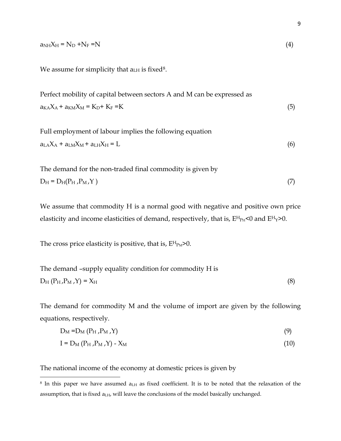| $a_{NH}X_H = N_D + N_F = N$ |  |
|-----------------------------|--|
|                             |  |

We assume for simplicity that  $a_{LH}$  is fixed<sup>[8](#page-9-0)</sup>.

Perfect mobility of capital between sectors A and M can be expressed as  $a_{K,A}X_A + a_{K,M}X_M = K_D + K_F = K$  (5)

Full employment of labour implies the following equation  $a<sub>LA</sub>X<sub>A</sub> + a<sub>LM</sub>X<sub>M</sub> + a<sub>LH</sub>X<sub>H</sub> = L$  (6)

The demand for the non-traded final commodity is given by  $D_H = D_H(P_H, P_M, Y)$  (7)

We assume that commodity H is a normal good with negative and positive own price elasticity and income elasticities of demand, respectively, that is,  $E^H P_H < 0$  and  $E^H Y > 0$ .

The cross price elasticity is positive, that is,  $E^H P_M > 0$ .

The demand –supply equality condition for commodity H is  
\n
$$
D_H (P_H, P_M, Y) = X_H
$$
\n(8)

The demand for commodity M and the volume of import are given by the following equations, respectively.

$$
D_M = D_M (P_H, P_M, Y) \tag{9}
$$

$$
I = D_M (P_H, P_M, Y) - X_M \tag{10}
$$

The national income of the economy at domestic prices is given by

<span id="page-9-0"></span> $8$  In this paper we have assumed  $a<sub>LH</sub>$  as fixed coefficient. It is to be noted that the relaxation of the assumption, that is fixed  $a<sub>LH</sub>$ , will leave the conclusions of the model basically unchanged.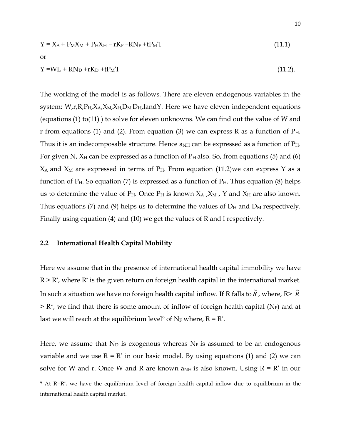$$
Y = X_A + P_M X_M + P_H X_H - rK_F - RN_F + tP_M^*I
$$
\nor

\n
$$
Y = WL + RN_D + rK_D + tP_M^*I
$$
\n(11.1)

\n(11.2)

The working of the model is as follows. There are eleven endogenous variables in the system:  $W_{,r,R,P_H,X_A,X_M,X_H,D_M,D_H,I$  and Y. Here we have eleven independent equations (equations  $(1)$  to $(11)$ ) to solve for eleven unknowns. We can find out the value of W and r from equations (1) and (2). From equation (3) we can express R as a function of  $P_{H}$ . Thus it is an indecomposable structure. Hence  $a_{NH}$  can be expressed as a function of  $P_{H}$ . For given N,  $X_H$  can be expressed as a function of  $P_H$  also. So, from equations (5) and (6)  $X_A$  and  $X_M$  are expressed in terms of  $P_H$ . From equation (11.2)we can express Y as a function of  $P_H$ . So equation (7) is expressed as a function of  $P_H$ . Thus equation (8) helps us to determine the value of  $P_H$ . Once  $P_H$  is known  $X_A$ ,  $X_M$ ,  $Y$  and  $X_H$  are also known. Thus equations (7) and (9) helps us to determine the values of  $D_H$  and  $D_M$  respectively. Finally using equation (4) and (10) we get the values of R and I respectively.

## **2.2 International Health Capital Mobility**

Here we assume that in the presence of international health capital immobility we have  $R \geq R^*$ , where  $R^*$  is the given return on foreign health capital in the international market. In such a situation we have no foreign health capital inflow. If R falls to  $\widetilde{R}$  , where, R>  $\widetilde{R}$  $> R^*$ , we find that there is some amount of inflow of foreign health capital (N<sub>F</sub>) and at last we will reach at the equilibrium level<sup>[9](#page-10-0)</sup> of N<sub>F</sub> where,  $R = R^*$ .

Here, we assume that  $N_D$  is exogenous whereas  $N_F$  is assumed to be an endogenous variable and we use  $R = R^*$  in our basic model. By using equations (1) and (2) we can solve for W and r. Once W and R are known  $a_{NH}$  is also known. Using R = R<sup>\*</sup> in our l

<span id="page-10-0"></span><sup>9</sup> At R=R\* , we have the equilibrium level of foreign health capital inflow due to equilibrium in the international health capital market.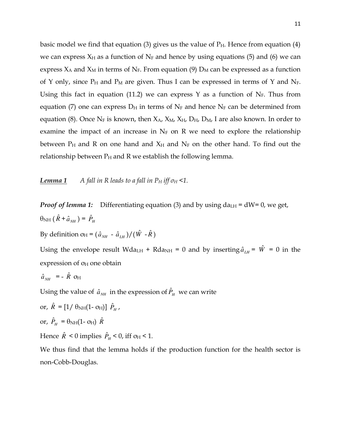basic model we find that equation (3) gives us the value of  $P_H$ . Hence from equation (4) we can express  $X_H$  as a function of  $N_F$  and hence by using equations (5) and (6) we can express  $X_A$  and  $X_M$  in terms of  $N_F$ . From equation (9)  $D_M$  can be expressed as a function of Y only, since  $P_H$  and  $P_M$  are given. Thus I can be expressed in terms of Y and N<sub>F</sub>. Using this fact in equation (11.2) we can express Y as a function of  $N_F$ . Thus from equation (7) one can express  $D_H$  in terms of  $N_F$  and hence  $N_F$  can be determined from equation (8). Once N<sub>F</sub> is known, then  $X_A$ ,  $X_M$ ,  $X_H$ ,  $D_H$ ,  $D_M$ , I are also known. In order to examine the impact of an increase in  $N_F$  on R we need to explore the relationship between  $P_H$  and R on one hand and  $X_H$  and  $N_F$  on the other hand. To find out the relationship between  $P_H$  and R we establish the following lemma.

*Lemma 1 A fall in R leads to a fall in P<sub>H</sub> iff*  $\sigma$ *<sup>H</sup> <1.* 

*Proof of lemma 1:* Differentiating equation (3) and by using  $da<sub>LM</sub> = dW = 0$ , we get,  $\theta_{\rm NH}$  ( $\hat{R}$  +  $\hat{a}_{_{NH}}$ ) =  $\hat{P}_{_H}$ 

By definition o<sub>H</sub> =  $(\hat{a}_{NH} - \hat{a}_{LH})/(\hat{W} - \hat{R})$ 

Using the envelope result Wda<sub>LH</sub> + Rda<sub>NH</sub> = 0 and by inserting  $\hat{a}_{LH}$  =  $\hat{W}$  = 0 in the expression of  $\sigma_H$  one obtain

$$
\hat{a}_{_{NH}} = - \hat{R} \text{ or } \hat{R}
$$

Using the value of  $\hat{a}_{\scriptscriptstyle NH}$  in the expression of  $\hat{P}_{\scriptscriptstyle H}^{\phantom{\dag}}$  we can write

or, 
$$
\hat{R} = [1 / \theta_{NH}(1 - \sigma_H)] \hat{P}_H
$$
,  
or,  $\hat{P}_H = \theta_{NH}(1 - \sigma_H) \hat{R}$   
Hence  $\hat{R} < 0$  implies  $\hat{P}_H < 0$ , iff  $\sigma_H < 1$ .

We thus find that the lemma holds if the production function for the health sector is non-Cobb-Douglas.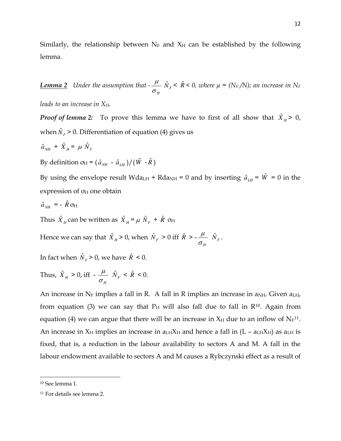Similarly, the relationship between  $N_F$  and  $X_H$  can be established by the following lemma.

*Lemma 2 Under the assumption that -*  $\sigma_{_H}$  $\frac{\mu}{\sigma}$   $\hat{N}_F$  <  $\hat{R}$  < 0, where  $\mu$  = (N<sub>F</sub> /N); an increase in N<sub>F</sub>

*leads to an increase in XH.* 

*Proof of lemma 2:* To prove this lemma we have to first of all show that  $\hat{X}_H$  > 0, when  $\hat{N}_{F}$  > 0. Differentiation of equation (4) gives us

$$
\hat{a}_{NH} + \hat{X}_H = \mu \hat{N}_F
$$

By definition o<sub>H</sub> =  $(\hat{a}_{NH} - \hat{a}_{CH})/(\hat{W} - \hat{R})$ 

By using the envelope result Wda<sub>LH</sub> + Rda<sub>NH</sub> = 0 and by inserting  $\hat{a}_{LH} = \hat{W} = 0$  in the expression of  $\sigma_H$  one obtain

$$
\hat{a}_{NH} = -\hat{R} \,\sigma_{\text{H}}
$$

Thus  $\hat{X}_H$  can be written as  $\hat{X}_H = \mu \hat{N}_F + \hat{R}$  o<sub>H</sub>

Hence we can say that  $\hat{X}_H$  > 0, when  $\hat{N}_F$  > 0 iff  $\hat{R}$  > - $\sigma_{_H}$  $\frac{\mu}{N_F}$ .

In fact when  $\hat{N}_F > 0$ , we have  $\hat{R} < 0$ .

Thus,  $\hat{X}_H > 0$ , iff - $\sigma_{_H}$  $\frac{\mu}{N_F}$  <  $\hat{R}$  < 0.

An increase in  $N_F$  implies a fall in R. A fall in R implies an increase in  $a_{NH}$ . Given  $a_{LH}$ , from equation (3) we can say that  $P_H$  will also fall due to fall in  $R^{10}$  $R^{10}$  $R^{10}$ . Again from equation (4) we can argue that there will be an increase in  $X_H$  due to an inflow of  $N_F$ <sup>[11](#page-12-0)</sup>. An increase in  $X_H$  implies an increase in  $a_L H X_H$  and hence a fall in  $(L - a_L H X_H)$  as  $a_L H$  is fixed, that is, a reduction in the labour availability to sectors A and M. A fall in the labour endowment available to sectors A and M causes a Rybczynski effect as a result of

<span id="page-12-0"></span><sup>10</sup> See lemma 1.

<sup>11</sup> For details see lemma 2.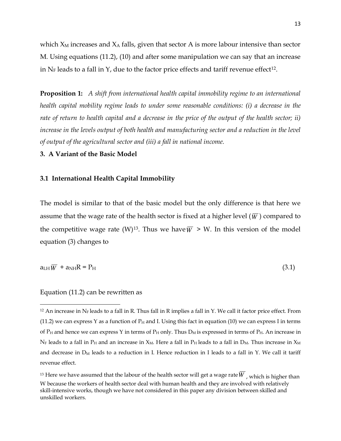13

which  $X_M$  increases and  $X_A$  falls, given that sector A is more labour intensive than sector M. Using equations (11.2), (10) and after some manipulation we can say that an increase in  $N_F$  leads to a fall in Y, due to the factor price effects and tariff revenue effect<sup>[12](#page-13-0)</sup>.

**Proposition 1:** *A shift from international health capital immobility regime to an international health capital mobility regime leads to under some reasonable conditions: (i) a decrease in the rate of return to health capital and a decrease in the price of the output of the health sector; ii)*  increase in the levels output of both health and manufacturing sector and a reduction in the level *of output of the agricultural sector and (iii) a fall in national income.*

#### **3. A Variant of the Basic Model**

#### **3.1 International Health Capital Immobility**

The model is similar to that of the basic model but the only difference is that here we assume that the wage rate of the health sector is fixed at a higher level  $(\overline{W})$  compared to the competitive wage rate  $(W)^{13}$  $(W)^{13}$  $(W)^{13}$ . Thus we have  $\overline{W} > W$ . In this version of the model equation (3) changes to

$$
a_{LH}\overline{W} + a_{NH}R = P_H \tag{3.1}
$$

#### Equation (11.2) can be rewritten as

<span id="page-13-0"></span><sup>&</sup>lt;sup>12</sup> An increase in N<sub>F</sub> leads to a fall in R. Thus fall in R implies a fall in Y. We call it factor price effect. From (11.2) we can express Y as a function of  $P_H$  and I. Using this fact in equation (10) we can express I in terms of  $P_H$  and hence we can express Y in terms of  $P_H$  only. Thus  $D_M$  is expressed in terms of  $P_H$ . An increase in  $N_F$  leads to a fall in  $P_H$  and an increase in  $X_M$ . Here a fall in  $P_H$  leads to a fall in  $D_M$ . Thus increase in  $X_M$ and decrease in  $D_M$  leads to a reduction in I. Hence reduction in I leads to a fall in Y. We call it tariff revenue effect.

<sup>&</sup>lt;sup>13</sup> Here we have assumed that the labour of the health sector will get a wage rate  $\overline{W}$  , which is higher than W because the workers of health sector deal with human health and they are involved with relatively skill-intensive works, though we have not considered in this paper any division between skilled and unskilled workers.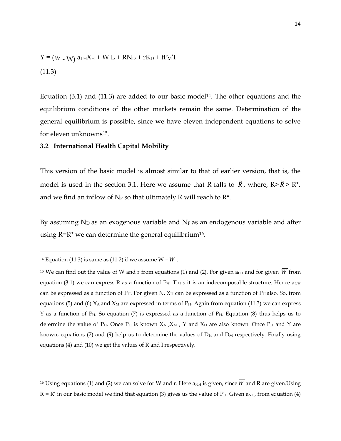$$
Y = (\overline{W} - W) aLH XH + W L + RND + rKD + tPM*I
$$
  
(11.3)

Equation  $(3.1)$  and  $(11.3)$  are added to our basic model<sup>[14](#page-14-0)</sup>. The other equations and the equilibrium conditions of the other markets remain the same. Determination of the general equilibrium is possible, since we have eleven independent equations to solve for eleven unknowns[15](#page-14-0) .

#### **3.2 International Health Capital Mobility**

This version of the basic model is almost similar to that of earlier version, that is, the model is used in the section 3.1. Here we assume that R falls to  $\tilde{R}$ , where, R> $\tilde{R}$ > R<sup>\*</sup>, and we find an inflow of  $N_F$  so that ultimately R will reach to  $R^*$ .

By assuming  $N_D$  as an exogenous variable and  $N_F$  as an endogenous variable and after using  $R=R^*$  we can determine the general equilibrium<sup>[16](#page-14-0)</sup>.

 $\overline{a}$ 

<sup>16</sup> Using equations (1) and (2) we can solve for W and r. Here  $a_{NH}$  is given, since  $\overline{W}$  and R are given.Using  $R = R^*$  in our basic model we find that equation (3) gives us the value of  $P_H$ . Given  $a_{NH}$ , from equation (4)

<span id="page-14-0"></span><sup>&</sup>lt;sup>14</sup> Equation (11.3) is same as (11.2) if we assume  $W = \overline{W}$ .

<sup>&</sup>lt;sup>15</sup> We can find out the value of W and r from equations (1) and (2). For given  $a<sub>LH</sub>$  and for given  $\overline{W}$  from equation (3.1) we can express R as a function of  $P_H$ . Thus it is an indecomposable structure. Hence  $a_{NH}$ can be expressed as a function of  $P_H$ . For given N,  $X_H$  can be expressed as a function of  $P_H$  also. So, from equations (5) and (6)  $X_A$  and  $X_M$  are expressed in terms of  $P_H$ . Again from equation (11.3) we can express Y as a function of  $P_H$ . So equation (7) is expressed as a function of  $P_H$ . Equation (8) thus helps us to determine the value of  $P_H$ . Once  $P_H$  is known  $X_A$ ,  $X_M$ , Y and  $X_H$  are also known. Once  $P_H$  and Y are known, equations (7) and (9) help us to determine the values of  $D_H$  and  $D_M$  respectively. Finally using equations (4) and (10) we get the values of R and I respectively.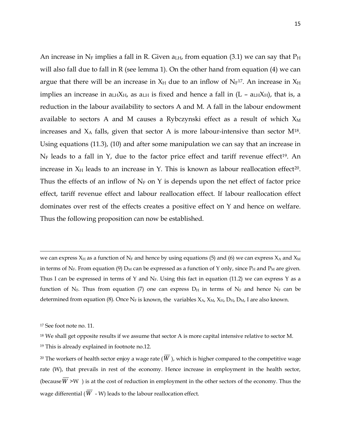An increase in N<sub>F</sub> implies a fall in R. Given  $a_{LH}$ , from equation (3.1) we can say that  $P_H$ will also fall due to fall in R (see lemma 1). On the other hand from equation (4) we can argue that there will be an increase in  $X_H$  due to an inflow of  $N_F$ <sup>[17](#page-15-0)</sup>. An increase in  $X_H$ implies an increase in  $a_{LH}X_{H}$ , as  $a_{LH}$  is fixed and hence a fall in (L –  $a_{LH}X_{H}$ ), that is, a reduction in the labour availability to sectors A and M. A fall in the labour endowment available to sectors A and M causes a Rybczynski effect as a result of which  $X_M$ increases and  $X_A$  falls, given that sector A is more labour-intensive than sector  $M^{18}$  $M^{18}$  $M^{18}$ . Using equations (11.3), (10) and after some manipulation we can say that an increase in  $N_F$  leads to a fall in Y, due to the factor price effect and tariff revenue effect<sup>[19](#page-15-0)</sup>. An increase in  $X_H$  leads to an increase in Y. This is known as labour reallocation effect<sup>[20](#page-15-0)</sup>. Thus the effects of an inflow of  $N_F$  on Y is depends upon the net effect of factor price effect, tariff revenue effect and labour reallocation effect. If labour reallocation effect dominates over rest of the effects creates a positive effect on Y and hence on welfare. Thus the following proposition can now be established.

<span id="page-15-0"></span>we can express  $X_H$  as a function of  $N_F$  and hence by using equations (5) and (6) we can express  $X_A$  and  $X_M$ in terms of  $N_F$ . From equation (9)  $D_M$  can be expressed as a function of Y only, since  $P_H$  and  $P_M$  are given. Thus I can be expressed in terms of Y and  $N_F$ . Using this fact in equation (11.2) we can express Y as a function of N<sub>F</sub>. Thus from equation (7) one can express  $D_H$  in terms of N<sub>F</sub> and hence N<sub>F</sub> can be determined from equation (8). Once N<sub>F</sub> is known, the variables  $X_A$ ,  $X_M$ ,  $X_H$ ,  $D_H$ ,  $D_M$ , I are also known.

l

<sup>17</sup> See foot note no. 11.

<sup>&</sup>lt;sup>18</sup> We shall get opposite results if we assume that sector A is more capital intensive relative to sector M.

<sup>19</sup> This is already explained in footnote no.12.

<sup>&</sup>lt;sup>20</sup> The workers of health sector enjoy a wage rate ( $\overline{W}$ ), which is higher compared to the competitive wage rate (W), that prevails in rest of the economy. Hence increase in employment in the health sector, (because  $\overline{W}$  >W ) is at the cost of reduction in employment in the other sectors of the economy. Thus the wage differential ( $\overline{W}$  - W) leads to the labour reallocation effect.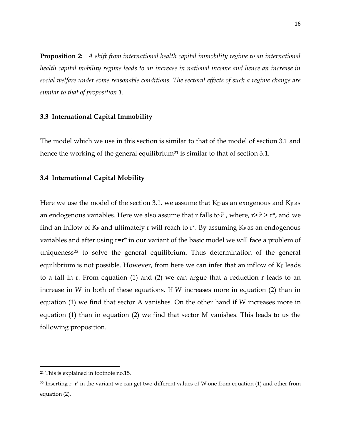**Proposition 2:** *A shift from international health capital immobility regime to an international health capital mobility regime leads to an increase in national income and hence an increase in social welfare under some reasonable conditions. The sectoral effects of such a regime change are similar to that of proposition 1.* 

### **3.3 International Capital Immobility**

The model which we use in this section is similar to that of the model of section 3.1 and hence the working of the general equilibrium<sup>[21](#page-16-0)</sup> is similar to that of section 3.1.

#### **3.4 International Capital Mobility**

Here we use the model of the section 3.1. we assume that  $K_D$  as an exogenous and  $K_F$  as an endogenous variables. Here we also assume that r falls to  $\tilde{r}$  , where, r> $\tilde{r}$  > r\*, and we find an inflow of  $K_F$  and ultimately r will reach to  $r^*$ . By assuming  $K_F$  as an endogenous variables and after using r=r\* in our variant of the basic model we will face a problem of uniqueness<sup>[22](#page-16-0)</sup> to solve the general equilibrium. Thus determination of the general equilibrium is not possible. However, from here we can infer that an inflow of  $K_F$  leads to a fall in r. From equation (1) and (2) we can argue that a reduction r leads to an increase in W in both of these equations. If W increases more in equation (2) than in equation (1) we find that sector A vanishes. On the other hand if W increases more in equation (1) than in equation (2) we find that sector M vanishes. This leads to us the following proposition.

<span id="page-16-0"></span><sup>21</sup> This is explained in footnote no.15.

<sup>&</sup>lt;sup>22</sup> Inserting  $r=r^*$  in the variant we can get two different values of W,one from equation (1) and other from equation (2).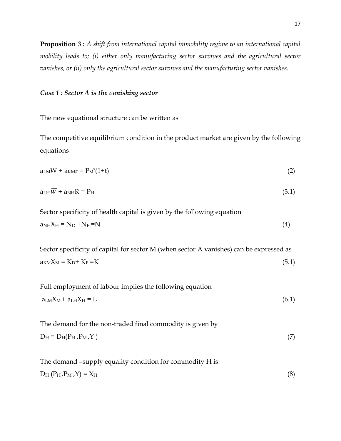**Proposition 3 :** *A shift from international capital immobility regime to an international capital mobility leads to; (i) either only manufacturing sector survives and the agricultural sector vanishes, or (ii) only the agricultural sector survives and the manufacturing sector vanishes.*

#### *Case 1 : Sector A is the vanishing sector*

The new equational structure can be written as

The competitive equilibrium condition in the product market are given by the following equations

| $a_{LM}W + a_{KM}r = P_M^*(1+t)$ |  |
|----------------------------------|--|
|                                  |  |

| $a_{LH}W + a_{NH}R = P_H$ | (3.1) |
|---------------------------|-------|

Sector specificity of health capital is given by the following equation  $a_{NH}X_H = N_D + N_F = N$  (4)

Sector specificity of capital for sector M (when sector A vanishes) can be expressed as  $a_{KM}X_M = K_D + K_F = K$  (5.1)

| Full employment of labour implies the following equation |       |
|----------------------------------------------------------|-------|
| $a_{LM}X_M + a_{LH}X_H = L$                              | (6.1) |

| The demand for the non-traded final commodity is given by |  |
|-----------------------------------------------------------|--|
| $D_{\rm H} = D_{\rm H}(P_{\rm H}, P_{\rm M}, Y)$          |  |

The demand –supply equality condition for commodity H is  $D_H (P_H, P_M, Y) = X_H$  (8)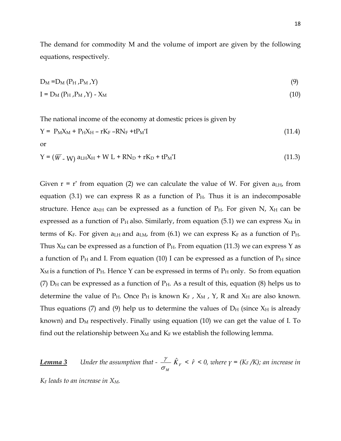The demand for commodity M and the volume of import are given by the following equations, respectively.

$$
D_M = D_M (P_H, P_M, Y) \tag{9}
$$

$$
I = D_M (P_H, P_M, Y) - X_M \tag{10}
$$

The national income of the economy at domestic prices is given by

$$
Y = P_M X_M + P_H X_H - rK_F - RN_F + tP_M^{\dagger}I
$$
\nor\n
$$
(11.4)
$$

$$
Y = (\overline{W} - W) a L H X H + W L + R N D + r K D + t P_M I
$$
\n(11.3)

Given  $r = r^*$  from equation (2) we can calculate the value of W. For given  $a_{LH}$ , from equation (3.1) we can express R as a function of  $P_H$ . Thus it is an indecomposable structure. Hence a<sub>NH</sub> can be expressed as a function of  $P_H$ . For given N,  $X_H$  can be expressed as a function of  $P_H$  also. Similarly, from equation (5.1) we can express  $X_M$  in terms of  $K_F$ . For given a<sub>LH</sub> and a<sub>LM</sub>, from (6.1) we can express  $K_F$  as a function of  $P_H$ . Thus  $X_M$  can be expressed as a function of  $P_H$ . From equation (11.3) we can express Y as a function of  $P_H$  and I. From equation (10) I can be expressed as a function of  $P_H$  since  $X_M$  is a function of  $P_H$ . Hence Y can be expressed in terms of  $P_H$  only. So from equation (7)  $D_H$  can be expressed as a function of  $P_H$ . As a result of this, equation (8) helps us to determine the value of  $P_H$ . Once  $P_H$  is known  $K_F$ ,  $X_M$ ,  $Y$ , R and  $X_H$  are also known. Thus equations (7) and (9) help us to determine the values of  $D_H$  (since  $X_H$  is already known) and  $D_M$  respectively. Finally using equation (10) we can get the value of I. To find out the relationship between  $X_M$  and  $K_F$  we establish the following lemma.

*Lemma 3 Under the assumption that -*   $\sigma_{_M}$  $\frac{\gamma}{\gamma}$   $\hat{K}_F$  <  $\hat{r}$  < 0, where  $\gamma$  = (K<sub>F</sub>/K); an increase in

*K<sup>F</sup> leads to an increase in XM.*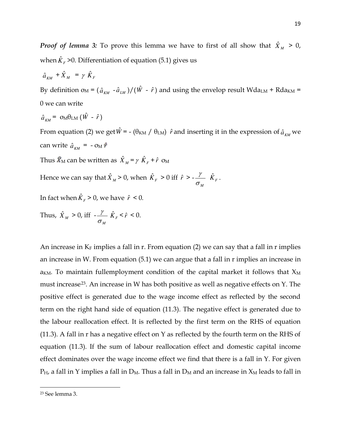*Proof of lemma 3:* To prove this lemma we have to first of all show that  $\hat{X}_M > 0$ , when  $\hat{K}_{F}$  >0. Differentiation of equation (5.1) gives us

$$
\hat{a}_{\scriptscriptstyle KM} + \hat{X}_{\scriptscriptstyle M} = \gamma \hat{K}_{\scriptscriptstyle F}
$$

By definition  $\sigma_M = (\hat{a}_{KM} - \hat{a}_{LM})/(\hat{W} - \hat{r})$  and using the envelop result Wda<sub>LM</sub> + Rda<sub>KM</sub> = 0 we can write

$$
\hat{a}_{\scriptscriptstyle KM} = \sigma_M \theta_{\scriptscriptstyle LM} \left( \hat{W} - \hat{r} \right)
$$

From equation (2) we get  $\hat{W}$ <sup> $=$ </sup> - ( $\theta_{KM}$  /  $\theta_{LM}$ )  $\hat{r}$  and inserting it in the expression of  $\hat{a}_{KM}$  we can write  $\hat{a}_{KM} = -\sigma_M \hat{r}$ 

Thus  $\widehat{X}_{\mathrm{M}}$  can be written as  $\hat{X}_{M}$  =  $\gamma \hat{K}_{F}$  +  $\hat{r}$   $\sigma_{\mathrm{M}}$ 

Hence we can say that  $\hat{X}_M > 0$ , when  $\hat{K}_F > 0$  iff  $\hat{r} > -1$  $\sigma_{_M}$  $\frac{\gamma}{K_F}$ .

In fact when  $\hat{K}_F > 0$ , we have  $\hat{r} < 0$ .

Thus,  $\hat{X}_M > 0$ , iff - $\sigma_{_M}$  $\frac{\gamma}{K_F} < \hat{r} < 0.$ 

An increase in  $K_F$  implies a fall in r. From equation (2) we can say that a fall in r implies an increase in W. From equation (5.1) we can argue that a fall in r implies an increase in  $a_{KM}$ . To maintain fullemployment condition of the capital market it follows that  $X_M$ must increase<sup>[23](#page-19-0)</sup>. An increase in W has both positive as well as negative effects on Y. The positive effect is generated due to the wage income effect as reflected by the second term on the right hand side of equation (11.3). The negative effect is generated due to the labour reallocation effect. It is reflected by the first term on the RHS of equation (11.3). A fall in r has a negative effect on Y as reflected by the fourth term on the RHS of equation (11.3). If the sum of labour reallocation effect and domestic capital income effect dominates over the wage income effect we find that there is a fall in Y. For given  $P_H$ , a fall in Y implies a fall in  $D_M$ . Thus a fall in  $D_M$  and an increase in  $X_M$  leads to fall in

<span id="page-19-0"></span><sup>23</sup> See lemma 3.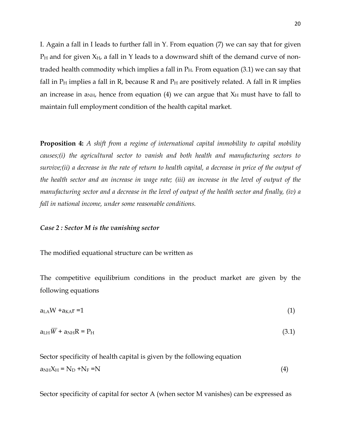I. Again a fall in I leads to further fall in Y. From equation (7) we can say that for given  $P_H$  and for given  $X_H$ , a fall in Y leads to a downward shift of the demand curve of nontraded health commodity which implies a fall in  $P_H$ . From equation (3.1) we can say that fall in  $P_H$  implies a fall in R, because R and  $P_H$  are positively related. A fall in R implies an increase in  $a_{NH}$ , hence from equation (4) we can argue that  $X_H$  must have to fall to maintain full employment condition of the health capital market.

**Proposition 4:** *A shift from a regime of international capital immobility to capital mobility causes;(i) the agricultural sector to vanish and both health and manufacturing sectors to survive;(ii) a decrease in the rate of return to health capital, a decrease in price of the output of the health sector and an increase in wage rate; (iii) an increase in the level of output of the manufacturing sector and a decrease in the level of output of the health sector and finally, (iv) a fall in national income, under some reasonable conditions.* 

#### *Case 2 : Sector M is the vanishing sector*

The modified equational structure can be written as

The competitive equilibrium conditions in the product market are given by the following equations

| $aLAW + aKAT = 1$ |  |
|-------------------|--|
|                   |  |

| $a_{LH}W + a_{NH}R = P_H$ | (3.1) |  |
|---------------------------|-------|--|

Sector specificity of health capital is given by the following equation  $a<sub>NH</sub>X<sub>H</sub> = N<sub>D</sub> + N<sub>F</sub> = N$  (4)

Sector specificity of capital for sector A (when sector M vanishes) can be expressed as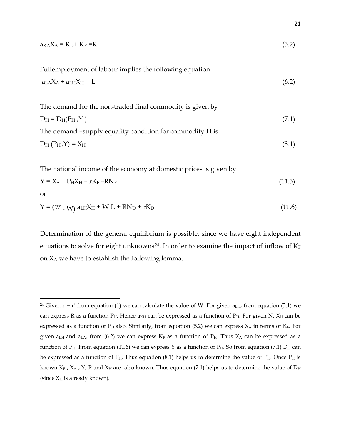| $a_{K} \lambda_A = K_D + K_F = K$                         | (5.2) |
|-----------------------------------------------------------|-------|
| Fullemployment of labour implies the following equation   |       |
| $a_{LA}X_A + a_{LH}X_H = L$                               | (6.2) |
| The demand for the non-traded final commodity is given by |       |
| $D_H = D_H(P_H, Y)$                                       | (7.1) |
| The demand -supply equality condition for commodity H is  |       |
| $D_H(P_H,Y) = X_H$                                        | (8.1) |
|                                                           |       |

The national income of the economy at domestic prices is given by

$$
Y = X_A + P_H X_H - rK_F - RN_F
$$
\n(11.5)

or

 $\overline{a}$ 

$$
Y = (\overline{W} - W) a L H X H + W L + R N D + r K D \qquad (11.6)
$$

Determination of the general equilibrium is possible, since we have eight independent equations to solve for eight unknowns<sup>[24](#page-21-0)</sup>. In order to examine the impact of inflow of  $K_F$ on  $X_A$  we have to establish the following lemma.

<span id="page-21-0"></span><sup>&</sup>lt;sup>24</sup> Given  $r = r^*$  from equation (1) we can calculate the value of W. For given  $a_{LH}$ , from equation (3.1) we can express R as a function  $P_H$ . Hence  $a_{NH}$  can be expressed as a function of  $P_H$ . For given N,  $X_H$  can be expressed as a function of  $P_H$  also. Similarly, from equation (5.2) we can express  $X_A$  in terms of  $K_F$ . For given  $a_{LH}$  and  $a_{LA}$ , from (6.2) we can express  $K_F$  as a function of  $P_H$ . Thus  $X_A$  can be expressed as a function of  $P_H$ . From equation (11.6) we can express Y as a function of  $P_H$ . So from equation (7.1)  $D_H$  can be expressed as a function of  $P_H$ . Thus equation (8.1) helps us to determine the value of  $P_H$ . Once  $P_H$  is known K<sub>F</sub>, X<sub>A</sub>, Y<sub>,</sub> R and X<sub>H</sub> are also known. Thus equation (7.1) helps us to determine the value of D<sub>H</sub> (since  $X_H$  is already known).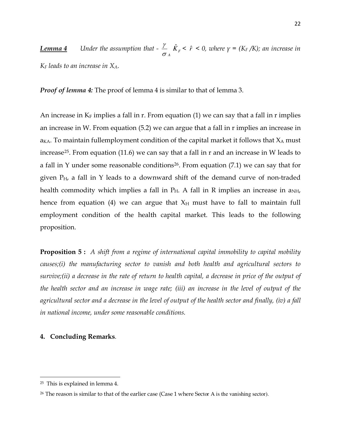**Lemma 4** Under the assumption that -  $\frac{7}{\sigma_A}$  $\frac{\gamma}{\gamma}$  *k*<sub>*F*</sub> < *f* < 0, where  $\gamma$  = (K<sub>F</sub>/K); an increase in *K<sup>F</sup> leads to an increase in XA.*

*Proof of lemma 4:* The proof of lemma 4 is similar to that of lemma 3.

An increase in  $K_F$  implies a fall in r. From equation (1) we can say that a fall in r implies an increase in W. From equation (5.2) we can argue that a fall in r implies an increase in  $a_{KA}$ . To maintain fullemployment condition of the capital market it follows that  $X_A$  must increase<sup>[25](#page-22-0)</sup>. From equation (11.6) we can say that a fall in r and an increase in W leads to a fall in Y under some reasonable conditions<sup>[26](#page-22-0)</sup>. From equation  $(7.1)$  we can say that for given  $P_H$ , a fall in Y leads to a downward shift of the demand curve of non-traded health commodity which implies a fall in  $P_H$ . A fall in R implies an increase in  $a_{NH}$ , hence from equation (4) we can argue that  $X_H$  must have to fall to maintain full employment condition of the health capital market. This leads to the following proposition.

**Proposition 5 :** *A shift from a regime of international capital immobility to capital mobility causes;(i) the manufacturing sector to vanish and both health and agricultural sectors to survive;(ii) a decrease in the rate of return to health capital, a decrease in price of the output of the health sector and an increase in wage rate; (iii) an increase in the level of output of the agricultural sector and a decrease in the level of output of the health sector and finally, (iv) a fall in national income, under some reasonable conditions.*

# **4. Concluding Remarks***.*

<span id="page-22-0"></span><sup>25</sup> This is explained in lemma 4.

<sup>&</sup>lt;sup>26</sup> The reason is similar to that of the earlier case (Case 1 where Sector A is the vanishing sector).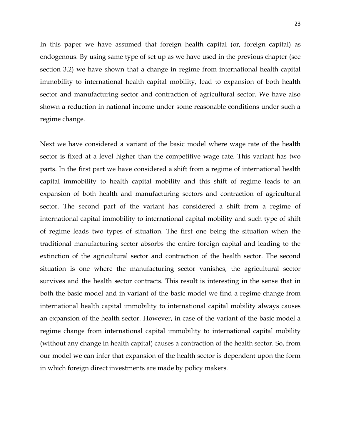In this paper we have assumed that foreign health capital (or, foreign capital) as endogenous. By using same type of set up as we have used in the previous chapter (see section 3.2) we have shown that a change in regime from international health capital immobility to international health capital mobility, lead to expansion of both health sector and manufacturing sector and contraction of agricultural sector. We have also shown a reduction in national income under some reasonable conditions under such a regime change.

Next we have considered a variant of the basic model where wage rate of the health sector is fixed at a level higher than the competitive wage rate. This variant has two parts. In the first part we have considered a shift from a regime of international health capital immobility to health capital mobility and this shift of regime leads to an expansion of both health and manufacturing sectors and contraction of agricultural sector. The second part of the variant has considered a shift from a regime of international capital immobility to international capital mobility and such type of shift of regime leads two types of situation. The first one being the situation when the traditional manufacturing sector absorbs the entire foreign capital and leading to the extinction of the agricultural sector and contraction of the health sector. The second situation is one where the manufacturing sector vanishes, the agricultural sector survives and the health sector contracts. This result is interesting in the sense that in both the basic model and in variant of the basic model we find a regime change from international health capital immobility to international capital mobility always causes an expansion of the health sector. However, in case of the variant of the basic model a regime change from international capital immobility to international capital mobility (without any change in health capital) causes a contraction of the health sector. So, from our model we can infer that expansion of the health sector is dependent upon the form in which foreign direct investments are made by policy makers.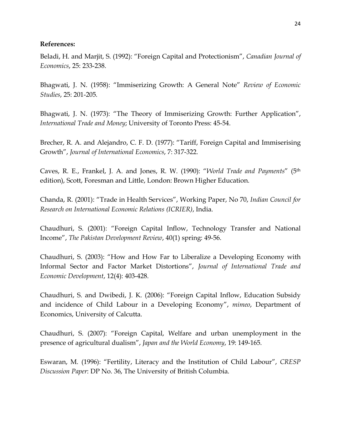# **References:**

Beladi, H. and Marjit, S. (1992): "Foreign Capital and Protectionism", *Canadian Journal of Economics*, 25: 233-238.

Bhagwati, J. N. (1958): "Immiserizing Growth: A General Note" *Review of Economic Studies*, 25: 201-205.

Bhagwati, J. N. (1973): "The Theory of Immiserizing Growth: Further Application", *International Trade and Money*; University of Toronto Press: 45-54.

Brecher, R. A. and Alejandro, C. F. D. (1977): "Tariff, Foreign Capital and Immiserising Growth", *Journal of International Economics*, 7: 317-322.

Caves, R. E., Frankel, J. A. and Jones, R. W. (1990): "*World Trade and Payments*" (5th edition), Scott, Foresman and Little, London: Brown Higher Education.

Chanda, R. (2001): "Trade in Health Services", Working Paper, No 70, *Indian Council for Research on International Economic Relations (ICRIER)*, India.

Chaudhuri, S. (2001): "Foreign Capital Inflow, Technology Transfer and National Income", *The Pakistan Development Review*, 40(1) spring: 49-56.

Chaudhuri, S. (2003): "How and How Far to Liberalize a Developing Economy with Informal Sector and Factor Market Distortions", *Journal of International Trade and Economic Development*, 12(4): 403-428.

Chaudhuri, S. and Dwibedi, J. K. (2006): "Foreign Capital Inflow, Education Subsidy and incidence of Child Labour in a Developing Economy", *mimeo*, Department of Economics, University of Calcutta.

Chaudhuri, S. (2007): "Foreign Capital, Welfare and urban unemployment in the presence of agricultural dualism", *Japan and the World Economy*, 19: 149-165.

Eswaran, M. (1996): "Fertility, Literacy and the Institution of Child Labour", *CRESP Discussion Paper*: DP No. 36, The University of British Columbia.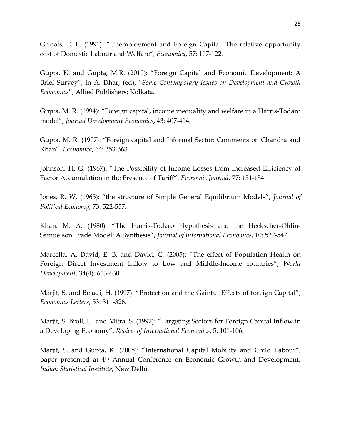Grinols, E. L. (1991): "Unemployment and Foreign Capital: The relative opportunity cost of Domestic Labour and Welfare", *Economica*, 57: 107-122.

Gupta, K. and Gupta, M.R. (2010): "Foreign Capital and Economic Development: A Brief Survey", in A. Dhar, (ed), "*Some Contemporary Issues on Development and Growth Economics*", Allied Publishers; Kolkata.

Gupta, M. R. (1994): "Foreign capital, income inequality and welfare in a Harris-Todaro model", *Journal Development Economics*, 43: 407-414.

Gupta, M. R. (1997): "Foreign capital and Informal Sector: Comments on Chandra and Khan", *Economica*, 64: 353-363.

Johnson, H. G. (1967): "The Possibility of Income Losses from Increased Efficiency of Factor Accumulation in the Presence of Tariff", *Economic Journal*, 77: 151-154.

Jones, R. W. (1965): "the structure of Simple General Equilibrium Models", *Journal of Political Economy*, 73: 522-557.

Khan, M. A. (1980): "The Harris-Todaro Hypothesis and the Heckscher-Ohlin-Samuelson Trade Model: A Synthesis", *Journal of International Economics*, 10: 527-547.

Marcella, A. David, E. B. and David, C. (2005): "The effect of Population Health on Foreign Direct Investment Inflow to Low and Middle-Income countries", *World Development*, 34(4): 613-630.

Marjit, S. and Beladi, H. (1997): "Protection and the Gainful Effects of foreign Capital", *Economics Letters*, 53: 311-326.

Marjit, S. Broll, U. and Mitra, S. (1997): "Targeting Sectors for Foreign Capital Inflow in a Developing Economy", *Review of International Economics*, 5: 101-106.

Marjit, S. and Gupta, K. (2008): "International Capital Mobility and Child Labour", paper presented at 4<sup>th</sup> Annual Conference on Economic Growth and Development, *Indian Statistical Institute*, New Delhi.